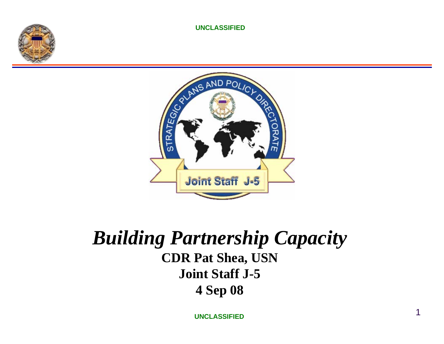



### *Building Partnership Capacity* **CDR Pat Shea, USN Joint Staff J-5 4 Sep 08**

**UNCLASSIFIED**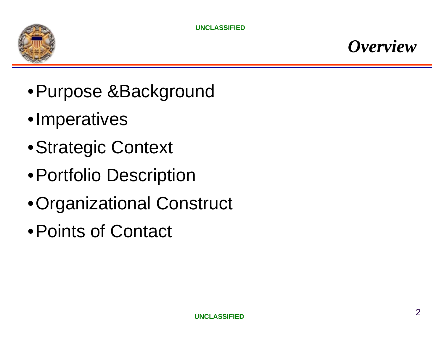

- •Purpose &Background
- •Imperatives
- •Strategic Context
- •Portfolio Description
- •Organizational Construct
- •Points of Contact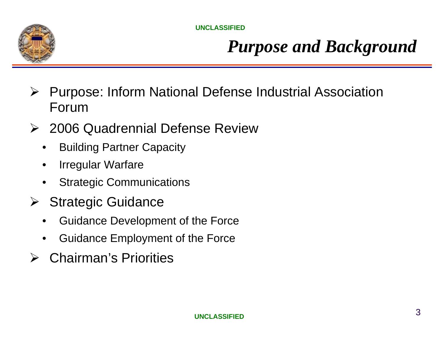

## *Purpose and Background*

- $\blacktriangleright$  Purpose: Inform National Defense Industrial Association Forum
- ¾ 2006 Quadrennial Defense Review
	- •Building Partner Capacity
	- •Irregular Warfare
	- •Strategic Communications
- ¾ Strategic Guidance
	- •Guidance Development of the Force
	- •Guidance Employment of the Force
- **► Chairman's Priorities**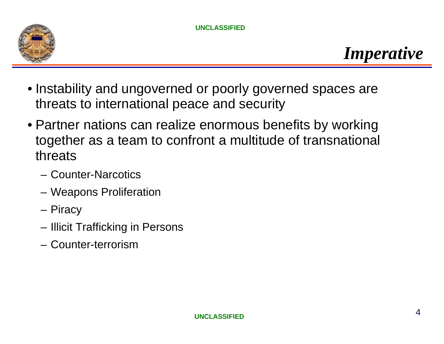

- Instability and ungoverned or poorly governed spaces are threats to international peace and security
- Partner nations can realize enormous benefits by working together as a team to confront a multitude of transnational threats
	- Counter-Narcotics
	- Weapons Proliferation
	- Piracy
	- Illicit Trafficking in Persons
	- Counter-terrorism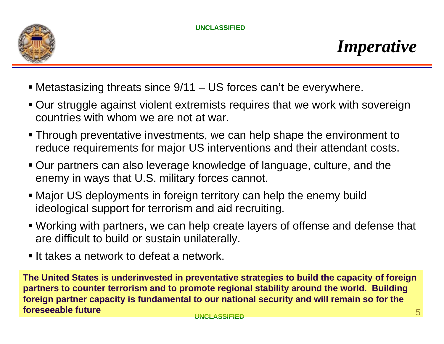

- Metastasizing threats since 9/11 US forces can't be everywhere.
- Our struggle against violent extremists requires that we work with sovereign countries with whom we are not at war.
- Through preventative investments, we can help shape the environment to reduce requirements for major US interventions and their attendant costs.
- Our partners can also leverage knowledge of language, culture, and the enemy in ways that U.S. military forces cannot.
- Major US deployments in foreign territory can help the enemy build ideological support for terrorism and aid recruiting.
- Working with partners, we can help create layers of offense and defense that are difficult to build or sustain unilaterally.
- **It takes a network to defeat a network.**

**The United States is underinvested in preventative strategies to build the capacity of foreign partners to counter terrorism and to promote regional stability around the world. Building foreign partner capacity is fundamental to our national security and will remain so for the foreseeable future**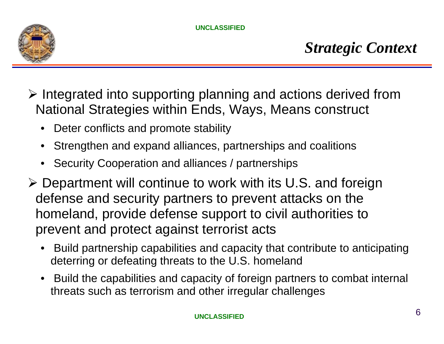

- $\triangleright$  Integrated into supporting planning and actions derived from National Strategies within Ends, Ways, Means construct
	- Deter conflicts and promote stability
	- •Strengthen and expand alliances, partnerships and coalitions
	- Security Cooperation and alliances / partnerships
- ¾ Department will continue to work with its U.S. and foreign defense and security partners to prevent attacks on the homeland, provide defense support to civil authorities to prevent and protect against terrorist acts
	- Build partnership capabilities and capacity that contribute to anticipating deterring or defeating threats to the U.S. homeland
	- Build the capabilities and capacity of foreign partners to combat internal threats such as terrorism and other irregular challenges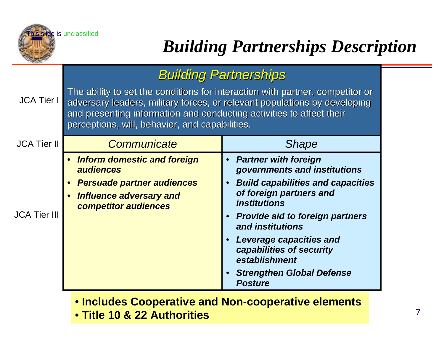

# *Building Partnerships Description*

#### *Building Partnerships Building Partnerships*

JCA Tier I The ability to set the conditions for interaction with partner, competitor or adversary leaders, military forces, or relevant populations by developing and presenting information and conducting activities to affect their perceptions, will, behavior, and capabilities.

| <b>JCA Tier II</b>  | Communicate                                                                                                                             | <b>Shape</b>                                                                                                                                                                                                                                                                                                                                       |
|---------------------|-----------------------------------------------------------------------------------------------------------------------------------------|----------------------------------------------------------------------------------------------------------------------------------------------------------------------------------------------------------------------------------------------------------------------------------------------------------------------------------------------------|
| <b>JCA Tier III</b> | <b>Inform domestic and foreign</b><br>audiences<br><b>Persuade partner audiences</b><br>Influence adversary and<br>competitor audiences | • Partner with foreign<br>governments and institutions<br><b>Build capabilities and capacities</b><br>of foreign partners and<br><i><b>institutions</b></i><br>• Provide aid to foreign partners<br>and institutions<br>Leverage capacities and<br>capabilities of security<br>establishment<br><b>Strengthen Global Defense</b><br><b>Posture</b> |

• **Includes Cooperative and Non-cooperative elements** 

**UNCLASSIFIED**• **Title 10 & 22 Authorities**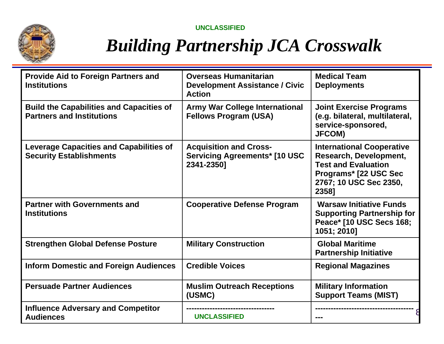## *Building Partnership JCA Crosswalk*

| <b>Provide Aid to Foreign Partners and</b><br><b>Institutions</b>                   | <b>Overseas Humanitarian</b><br><b>Development Assistance / Civic</b><br><b>Action</b> | <b>Medical Team</b><br><b>Deployments</b>                                                                                                            |
|-------------------------------------------------------------------------------------|----------------------------------------------------------------------------------------|------------------------------------------------------------------------------------------------------------------------------------------------------|
| <b>Build the Capabilities and Capacities of</b><br><b>Partners and Institutions</b> | <b>Army War College International</b><br><b>Fellows Program (USA)</b>                  | <b>Joint Exercise Programs</b><br>(e.g. bilateral, multilateral,<br>service-sponsored,<br><b>JFCOM)</b>                                              |
| <b>Leverage Capacities and Capabilities of</b><br><b>Security Establishments</b>    | <b>Acquisition and Cross-</b><br><b>Servicing Agreements* [10 USC</b><br>2341-2350]    | <b>International Cooperative</b><br>Research, Development,<br><b>Test and Evaluation</b><br>Programs* [22 USC Sec<br>2767; 10 USC Sec 2350,<br>2358] |
| <b>Partner with Governments and</b><br><b>Institutions</b>                          | <b>Cooperative Defense Program</b>                                                     | <b>Warsaw Initiative Funds</b><br><b>Supporting Partnership for</b><br>Peace* [10 USC Secs 168;<br>1051; 2010]                                       |
| <b>Strengthen Global Defense Posture</b>                                            | <b>Military Construction</b>                                                           | <b>Global Maritime</b><br><b>Partnership Initiative</b>                                                                                              |
| <b>Inform Domestic and Foreign Audiences</b>                                        | <b>Credible Voices</b>                                                                 | <b>Regional Magazines</b>                                                                                                                            |
| <b>Persuade Partner Audiences</b>                                                   | <b>Muslim Outreach Receptions</b><br>(USMC)                                            | <b>Military Information</b><br><b>Support Teams (MIST)</b>                                                                                           |
| <b>Influence Adversary and Competitor</b><br><b>Audiences</b>                       | <b>UNCLASSIFIED</b>                                                                    |                                                                                                                                                      |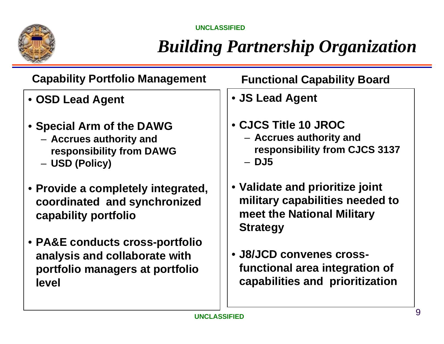

# *Building Partnership Organization*

| <b>Capability Portfolio Management</b> |
|----------------------------------------|
| • OSD Lead Agent                       |

- **Special Arm of the DAWG** 
	- **Accrues authority and responsibility from DAWG**
	- **USD (Policy)**
- **Provide a completely integrated, coordinated and synchronized capability portfolio**
- **PA&E conducts cross-portfolio analysis and collaborate with portfolio managers at portfolio level**

#### **Functional Capability Board**

- **JS Lead Agent**
- **CJCS Title 10 JROC**  – **Accrues authority and responsibility from CJCS 3137** – **DJ5**
- **Validate and prioritize joint military capabilities needed to meet the National Military Strategy**
- **J8/JCD convenes crossfunctional area integration of capabilities and prioritization**